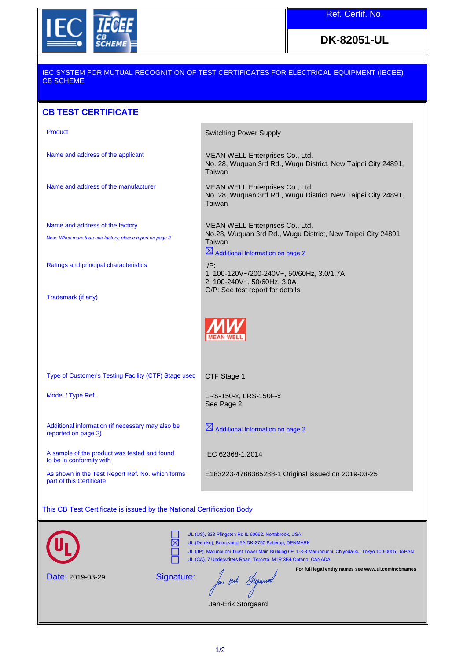

**DK-82051-UL**

## IEC SYSTEM FOR MUTUAL RECOGNITION OF TEST CERTIFICATES FOR ELECTRICAL EQUIPMENT (IECEE) CB SCHEME

## **CB TEST CERTIFICATE**

| Product                                                                      | <b>Switching Power Supply</b>                                                                                         |
|------------------------------------------------------------------------------|-----------------------------------------------------------------------------------------------------------------------|
| Name and address of the applicant                                            | MEAN WELL Enterprises Co., Ltd.<br>No. 28, Wuquan 3rd Rd., Wugu District, New Taipei City 24891,<br>Taiwan            |
| Name and address of the manufacturer                                         | MEAN WELL Enterprises Co., Ltd.<br>No. 28, Wuquan 3rd Rd., Wugu District, New Taipei City 24891,<br>Taiwan            |
| Name and address of the factory                                              | MEAN WELL Enterprises Co., Ltd.                                                                                       |
| Note: When more than one factory, please report on page 2                    | No.28, Wuquan 3rd Rd., Wugu District, New Taipei City 24891<br>Taiwan<br>$\boxtimes$ Additional Information on page 2 |
| Ratings and principal characteristics                                        | $I/P$ :<br>1. 100-120V~/200-240V~, 50/60Hz, 3.0/1.7A<br>2. 100-240V~, 50/60Hz, 3.0A                                   |
| Trademark (if any)                                                           | O/P: See test report for details                                                                                      |
|                                                                              |                                                                                                                       |
| Type of Customer's Testing Facility (CTF) Stage used                         | CTF Stage 1                                                                                                           |
| Model / Type Ref.                                                            | LRS-150-x, LRS-150F-x<br>See Page 2                                                                                   |
| Additional information (if necessary may also be<br>reported on page 2)      | $\boxtimes$ Additional Information on page 2                                                                          |
| A sample of the product was tested and found<br>to be in conformity with     | IEC 62368-1:2014                                                                                                      |
| As shown in the Test Report Ref. No. which forms<br>part of this Certificate | E183223-4788385288-1 Original issued on 2019-03-25                                                                    |

This CB Test Certificate is issued by the National Certification Body



Jan-Erik Storgaard